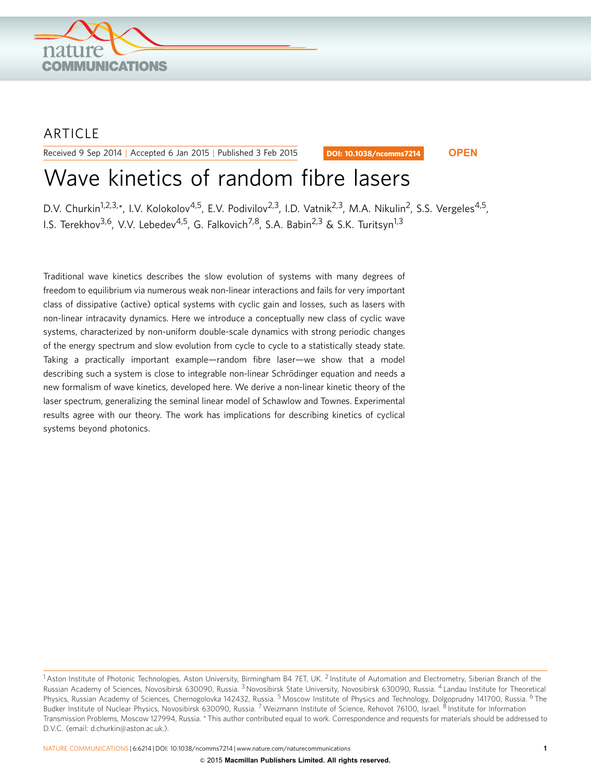

## ARTICLE

Received 9 Sep 2014 | Accepted 6 Jan 2015 | Published 3 Feb 2015

DOI: 10.1038/ncomms7214 **OPEN**

# Wave kinetics of random fibre lasers

D.V. Churkin<sup>1,2,3,\*</sup>, I.V. Kolokolov<sup>4,5</sup>, E.V. Podivilov<sup>2,3</sup>, I.D. Vatnik<sup>2,3</sup>, M.A. Nikulin<sup>2</sup>, S.S. Vergeles<sup>4,5</sup>, I.S. Terekhov<sup>3,6</sup>, V.V. Lebedev<sup>4,5</sup>, G. Falkovich<sup>7,8</sup>, S.A. Babin<sup>2,3</sup> & S.K. Turitsyn<sup>1,3</sup>

Traditional wave kinetics describes the slow evolution of systems with many degrees of freedom to equilibrium via numerous weak non-linear interactions and fails for very important class of dissipative (active) optical systems with cyclic gain and losses, such as lasers with non-linear intracavity dynamics. Here we introduce a conceptually new class of cyclic wave systems, characterized by non-uniform double-scale dynamics with strong periodic changes of the energy spectrum and slow evolution from cycle to cycle to a statistically steady state. Taking a practically important example—random fibre laser—we show that a model describing such a system is close to integrable non-linear Schrödinger equation and needs a new formalism of wave kinetics, developed here. We derive a non-linear kinetic theory of the laser spectrum, generalizing the seminal linear model of Schawlow and Townes. Experimental results agree with our theory. The work has implications for describing kinetics of cyclical systems beyond photonics.

NATURE COMMUNICATIONS | 6:6214 | DOI: 10.1038/ncomms7214 | [www.nature.com/naturecommunications](http://www.nature.com/naturecommunications) 1

<sup>&</sup>lt;sup>1</sup> Aston Institute of Photonic Technologies, Aston University, Birmingham B4 7ET, UK. <sup>2</sup> Institute of Automation and Electrometry, Siberian Branch of the Russian Academy of Sciences, Novosibirsk 630090, Russia. <sup>3</sup>Novosibirsk State University, Novosibirsk 630090, Russia. <sup>4</sup> Landau Institute for Theoretical Physics, Russian Academy of Sciences, Chernogolovka 142432, Russia. <sup>5</sup> Moscow Institute of Physics and Technology, Dolgoprudny 141700, Russia. <sup>6</sup> The Budker Institute of Nuclear Physics, Novosibirsk 630090, Russia. <sup>7</sup> Weizmann Institute of Science, Rehovot 76100, Israel. <sup>8</sup> Institute for Information Transmission Problems, Moscow 127994, Russia. \* This author contributed equal to work. Correspondence and requests for materials should be addressed to D.V.C. (email: [d.churkin@aston.ac.uk.](mailto:d.churkin@aston.ac.uk.)).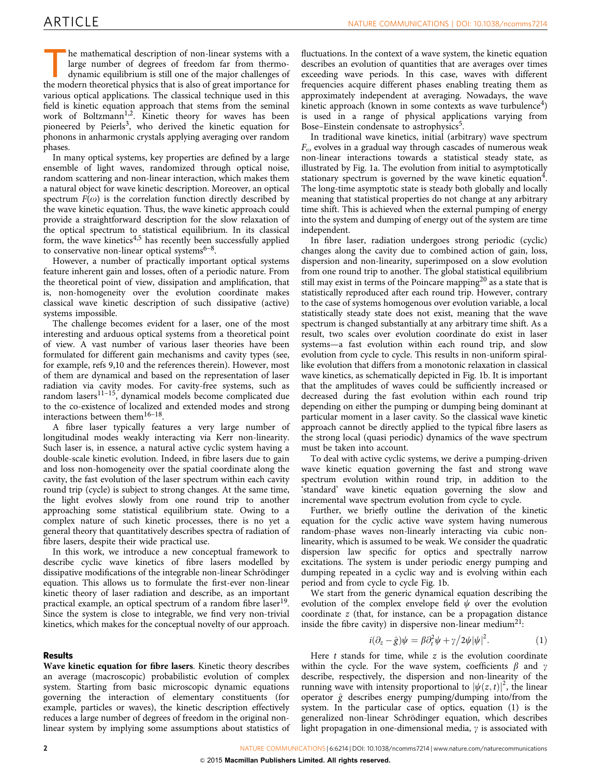he mathematical description of non-linear systems with a large number of degrees of freedom far from thermodynamic equilibrium is still one of the major challenges of the modern theoretical physics that is also of great importance for various optical applications. The classical technique used in this field is kinetic equation approach that stems from the seminal work of Boltzmann<sup>[1,2](#page-4-0)</sup>. Kinetic theory for waves has been pioneered by Peierls<sup>[3](#page-4-0)</sup>, who derived the kinetic equation for phonons in anharmonic crystals applying averaging over random phases.

In many optical systems, key properties are defined by a large ensemble of light waves, randomized through optical noise, random scattering and non-linear interaction, which makes them a natural object for wave kinetic description. Moreover, an optical spectrum  $F(\omega)$  is the correlation function directly described by the wave kinetic equation. Thus, the wave kinetic approach could provide a straightforward description for the slow relaxation of the optical spectrum to statistical equilibrium. In its classical form, the wave kinetics<sup>[4,5](#page-4-0)</sup> has recently been successfully applied to conservative non-linear optical systems $6-8$ .

However, a number of practically important optical systems feature inherent gain and losses, often of a periodic nature. From the theoretical point of view, dissipation and amplification, that is, non-homogeneity over the evolution coordinate makes classical wave kinetic description of such dissipative (active) systems impossible.

The challenge becomes evident for a laser, one of the most interesting and arduous optical systems from a theoretical point of view. A vast number of various laser theories have been formulated for different gain mechanisms and cavity types (see, for example, [refs 9,10](#page-4-0) and the references therein). However, most of them are dynamical and based on the representation of laser radiation via cavity modes. For cavity-free systems, such as random lasers<sup>11–15</sup>, dynamical models become complicated due to the co-existence of localized and extended modes and strong interactions between them<sup>16-18</sup>

A fibre laser typically features a very large number of longitudinal modes weakly interacting via Kerr non-linearity. Such laser is, in essence, a natural active cyclic system having a double-scale kinetic evolution. Indeed, in fibre lasers due to gain and loss non-homogeneity over the spatial coordinate along the cavity, the fast evolution of the laser spectrum within each cavity round trip (cycle) is subject to strong changes. At the same time, the light evolves slowly from one round trip to another approaching some statistical equilibrium state. Owing to a complex nature of such kinetic processes, there is no yet a general theory that quantitatively describes spectra of radiation of fibre lasers, despite their wide practical use.

In this work, we introduce a new conceptual framework to describe cyclic wave kinetics of fibre lasers modelled by dissipative modifications of the integrable non-linear Schrödinger equation. This allows us to formulate the first-ever non-linear kinetic theory of laser radiation and describe, as an important practical example, an optical spectrum of a random fibre laser<sup>19</sup>. Since the system is close to integrable, we find very non-trivial kinetics, which makes for the conceptual novelty of our approach.

## Results

Wave kinetic equation for fibre lasers. Kinetic theory describes an average (macroscopic) probabilistic evolution of complex system. Starting from basic microscopic dynamic equations governing the interaction of elementary constituents (for example, particles or waves), the kinetic description effectively reduces a large number of degrees of freedom in the original nonlinear system by implying some assumptions about statistics of

fluctuations. In the context of a wave system, the kinetic equation describes an evolution of quantities that are averages over times exceeding wave periods. In this case, waves with different frequencies acquire different phases enabling treating them as approximately independent at averaging. Nowadays, the wave kinetic approach (known in some contexts as wave turbulence<sup>[4](#page-4-0)</sup>) is used in a range of physical applications varying from Bose–Einstein condensate to astrophysics<sup>5</sup>.

In traditional wave kinetics, initial (arbitrary) wave spectrum  $F_{\omega}$  evolves in a gradual way through cascades of numerous weak non-linear interactions towards a statistical steady state, as illustrated by [Fig. 1a.](#page-2-0) The evolution from initial to asymptotically stationary spectrum is governed by the wave kinetic equation<sup>4</sup>. The long-time asymptotic state is steady both globally and locally meaning that statistical properties do not change at any arbitrary time shift. This is achieved when the external pumping of energy into the system and dumping of energy out of the system are time independent.

In fibre laser, radiation undergoes strong periodic (cyclic) changes along the cavity due to combined action of gain, loss, dispersion and non-linearity, superimposed on a slow evolution from one round trip to another. The global statistical equilibrium still may exist in terms of the Poincare mapping<sup>[20](#page-5-0)</sup> as a state that is statistically reproduced after each round trip. However, contrary to the case of systems homogenous over evolution variable, a local statistically steady state does not exist, meaning that the wave spectrum is changed substantially at any arbitrary time shift. As a result, two scales over evolution coordinate do exist in laser systems—a fast evolution within each round trip, and slow evolution from cycle to cycle. This results in non-uniform spirallike evolution that differs from a monotonic relaxation in classical wave kinetics, as schematically depicted in [Fig. 1b.](#page-2-0) It is important that the amplitudes of waves could be sufficiently increased or decreased during the fast evolution within each round trip depending on either the pumping or dumping being dominant at particular moment in a laser cavity. So the classical wave kinetic approach cannot be directly applied to the typical fibre lasers as the strong local (quasi periodic) dynamics of the wave spectrum must be taken into account.

To deal with active cyclic systems, we derive a pumping-driven wave kinetic equation governing the fast and strong wave spectrum evolution within round trip, in addition to the 'standard' wave kinetic equation governing the slow and incremental wave spectrum evolution from cycle to cycle.

Further, we briefly outline the derivation of the kinetic equation for the cyclic active wave system having numerous random-phase waves non-linearly interacting via cubic nonlinearity, which is assumed to be weak. We consider the quadratic dispersion law specific for optics and spectrally narrow excitations. The system is under periodic energy pumping and dumping repeated in a cyclic way and is evolving within each period and from cycle to cycle [Fig. 1b.](#page-2-0)

We start from the generic dynamical equation describing the evolution of the complex envelope field  $\psi$  over the evolution coordinate z (that, for instance, can be a propagation distance inside the fibre cavity) in dispersive non-linear medium<sup>21</sup>:

$$
i(\partial_z - \hat{g})\psi = \beta \partial_t^2 \psi + \gamma/2\psi |\psi|^2.
$$
 (1)

Here  $t$  stands for time, while  $z$  is the evolution coordinate within the cycle. For the wave system, coefficients  $\beta$  and  $\gamma$ describe, respectively, the dispersion and non-linearity of the running wave with intensity proportional to  $|\psi(z,t)|^2$ , the linear operator  $\hat{g}$  describes energy pumping/dumping into/from the system. In the particular case of optics, equation (1) is the generalized non-linear Schrödinger equation, which describes light propagation in one-dimensional media,  $\gamma$  is associated with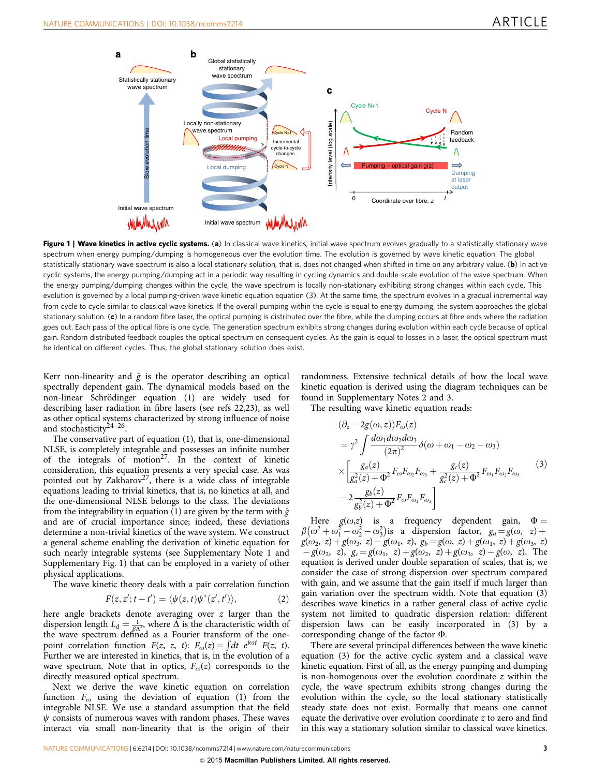<span id="page-2-0"></span>

Figure 1 | Wave kinetics in active cyclic systems. (a) In classical wave kinetics, initial wave spectrum evolves gradually to a statistically stationary wave spectrum when energy pumping/dumping is homogeneous over the evolution time. The evolution is governed by wave kinetic equation. The global statistically stationary wave spectrum is also a local stationary solution, that is, does not changed when shifted in time on any arbitrary value. (b) In active cyclic systems, the energy pumping/dumping act in a periodic way resulting in cycling dynamics and double-scale evolution of the wave spectrum. When the energy pumping/dumping changes within the cycle, the wave spectrum is locally non-stationary exhibiting strong changes within each cycle. This evolution is governed by a local pumping-driven wave kinetic equation equation (3). At the same time, the spectrum evolves in a gradual incremental way from cycle to cycle similar to classical wave kinetics. If the overall pumping within the cycle is equal to energy dumping, the system approaches the global stationary solution. (c) In a random fibre laser, the optical pumping is distributed over the fibre, while the dumping occurs at fibre ends where the radiation goes out. Each pass of the optical fibre is one cycle. The generation spectrum exhibits strong changes during evolution within each cycle because of optical gain. Random distributed feedback couples the optical spectrum on consequent cycles. As the gain is equal to losses in a laser, the optical spectrum must be identical on different cycles. Thus, the global stationary solution does exist.

Kerr non-linearity and  $\hat{g}$  is the operator describing an optical spectrally dependent gain. The dynamical models based on the non-linear Schrödinger equation (1) are widely used for describing laser radiation in fibre lasers (see [refs 22,23\)](#page-5-0), as well as other optical systems characterized by strong influence of noise and stochasticity<sup>24–26</sup>.

The conservative part of equation (1), that is, one-dimensional NLSE, is completely integrable and possesses an infinite number of the integrals of motion<sup>[27](#page-5-0)</sup>. In the context of kinetic consideration, this equation presents a very special case. As was pointed out by Zakharov<sup>[27](#page-5-0)</sup>, there is a wide class of integrable equations leading to trivial kinetics, that is, no kinetics at all, and the one-dimensional NLSE belongs to the class. The deviations from the integrability in equation (1) are given by the term with  $\hat{g}$ and are of crucial importance since; indeed, these deviations determine a non-trivial kinetics of the wave system. We construct a general scheme enabling the derivation of kinetic equation for such nearly integrable systems (see Supplementary Note 1 and Supplementary Fig. 1) that can be employed in a variety of other physical applications.

The wave kinetic theory deals with a pair correlation function

$$
F(z, z'; t - t') = \langle \psi(z, t) \psi^*(z', t') \rangle, \tag{2}
$$

here angle brackets denote averaging over z larger than the dispersion length  $L_d = \frac{1}{\beta \Delta^2}$ , where  $\Delta$  is the characteristic width of the wave spectrum defined as a Fourier transform of the onepoint correlation function  $F(z, z, t)$ :  $F_{\omega}(z) = \int dt \ e^{i\omega t} F(z, t)$ . Further we are interested in kinetics, that is, in the evolution of a wave spectrum. Note that in optics,  $F_{\omega}(z)$  corresponds to the directly measured optical spectrum.

Next we derive the wave kinetic equation on correlation function  $F_{\omega}$  using the deviation of equation (1) from the integrable NLSE. We use a standard assumption that the field  $\psi$  consists of numerous waves with random phases. These waves interact via small non-linearity that is the origin of their randomness. Extensive technical details of how the local wave kinetic equation is derived using the diagram techniques can be found in Supplementary Notes 2 and 3.

The resulting wave kinetic equation reads:

$$
(\partial_z - 2g(\omega, z))F_{\omega}(z)
$$
  
=  $\gamma^2 \int \frac{d\omega_1 d\omega_2 d\omega_3}{(2\pi)^2} \delta(\omega + \omega_1 - \omega_2 - \omega_3)$   
 $\times \left[ \frac{g_a(z)}{g_a^2(z) + \Phi^2} F_{\omega} F_{\omega_2} F_{\omega_3} + \frac{g_c(z)}{g_c^2(z) + \Phi^2} F_{\omega_1} F_{\omega_2} F_{\omega_3} \right]$  (3)  
 $-2 \frac{g_b(z)}{g_b^2(z) + \Phi^2} F_{\omega} F_{\omega_1} F_{\omega_3}$ 

Here  $g(\omega, z)$  is a frequency dependent gain,  $\Phi =$  $\beta(\omega^2 + \omega_1^2 - \omega_2^2 - \omega_3^2)$  is a dispersion factor,  $g_a = g(\omega, z) +$  $g(\omega_2, z) + g(\omega_3, z) - g(\omega_1, z), g_b = g(\omega, z) + g(\omega_1, z) + g(\omega_3, z)$  $-g(\omega_2, z), g_c = g(\omega_1, z) + g(\omega_2, z) + g(\omega_3, z) - g(\omega, z)$ . The equation is derived under double separation of scales, that is, we consider the case of strong dispersion over spectrum compared with gain, and we assume that the gain itself if much larger than gain variation over the spectrum width. Note that equation (3) describes wave kinetics in a rather general class of active cyclic system not limited to quadratic dispersion relation: different dispersion laws can be easily incorporated in (3) by a corresponding change of the factor  $\Phi$ .

There are several principal differences between the wave kinetic equation (3) for the active cyclic system and a classical wave kinetic equation. First of all, as the energy pumping and dumping is non-homogenous over the evolution coordinate z within the cycle, the wave spectrum exhibits strong changes during the evolution within the cycle, so the local stationary statistically steady state does not exist. Formally that means one cannot equate the derivative over evolution coordinate z to zero and find in this way a stationary solution similar to classical wave kinetics.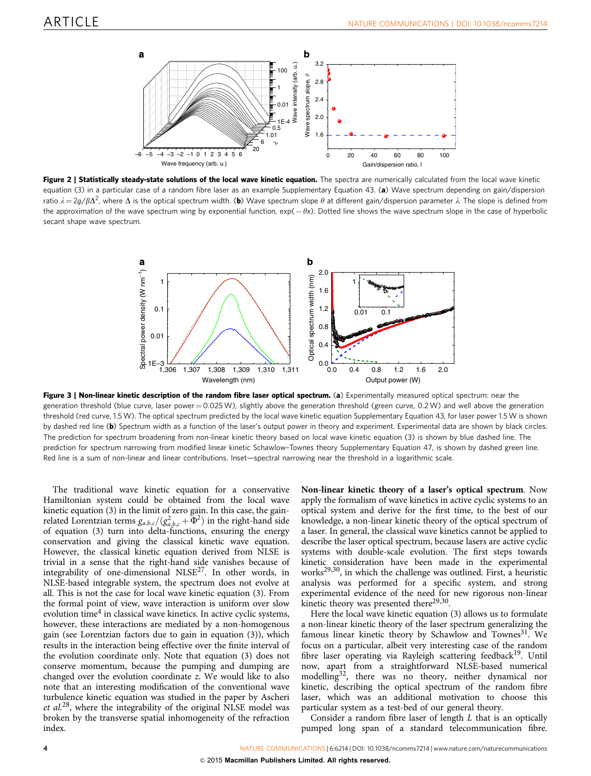<span id="page-3-0"></span>

Figure 2 | Statistically steady-state solutions of the local wave kinetic equation. The spectra are numerically calculated from the local wave kinetic equation (3) in a particular case of a random fibre laser as an example Supplementary Equation 43. (a) Wave spectrum depending on gain/dispersion ratio  $\lambda = 2q/\beta\Delta^2$ , where  $\Delta$  is the optical spectrum width. (b) Wave spectrum slope  $\theta$  at different gain/dispersion parameter  $\lambda$ . The slope is defined from the approximation of the wave spectrum wing by exponential function, exp( $-\theta x$ ). Dotted line shows the wave spectrum slope in the case of hyperbolic secant shape wave spectrum.



Figure 3 | Non-linear kinetic description of the random fibre laser optical spectrum. (a) Experimentally measured optical spectrum: near the generation threshold (blue curve, laser power =  $0.025 W$ ), slightly above the generation threshold (green curve,  $0.2 W$ ) and well above the generation threshold (red curve, 1.5W). The optical spectrum predicted by the local wave kinetic equation Supplementary Equation 43, for laser power 1.5W is shown by dashed red line (b) Spectrum width as a function of the laser's output power in theory and experiment. Experimental data are shown by black circles. The prediction for spectrum broadening from non-linear kinetic theory based on local wave kinetic equation (3) is shown by blue dashed line. The prediction for spectrum narrowing from modified linear kinetic Schawlow–Townes theory Supplementary Equation 47, is shown by dashed green line. Red line is a sum of non-linear and linear contributions. Inset—spectral narrowing near the threshold in a logarithmic scale.

The traditional wave kinetic equation for a conservative Hamiltonian system could be obtained from the local wave kinetic equation (3) in the limit of zero gain. In this case, the gainrelated Lorentzian terms  $g_{a,b,c}/(g_{a,b,c}^2 + \Phi^2)$  in the right-hand side of equation (3) turn into delta-functions, ensuring the energy conservation and giving the classical kinetic wave equation. However, the classical kinetic equation derived from NLSE is trivial in a sense that the right-hand side vanishes because of integrability of one-dimensional  $N \text{LSE}^{27}$  $N \text{LSE}^{27}$  $N \text{LSE}^{27}$ . In other words, in NLSE-based integrable system, the spectrum does not evolve at all. This is not the case for local wave kinetic equation (3). From the formal point of view, wave interaction is uniform over slow evolution time<sup>[4](#page-4-0)</sup> in classical wave kinetics. In active cyclic systems, however, these interactions are mediated by a non-homogenous gain (see Lorentzian factors due to gain in equation (3)), which results in the interaction being effective over the finite interval of the evolution coordinate only. Note that equation (3) does not conserve momentum, because the pumping and dumping are changed over the evolution coordinate z. We would like to also note that an interesting modification of the conventional wave turbulence kinetic equation was studied in the paper by Ascheri et  $al.^{28}$  $al.^{28}$  $al.^{28}$ , where the integrability of the original NLSE model was broken by the transverse spatial inhomogeneity of the refraction index.

Non-linear kinetic theory of a laser's optical spectrum. Now apply the formalism of wave kinetics in active cyclic systems to an optical system and derive for the first time, to the best of our knowledge, a non-linear kinetic theory of the optical spectrum of a laser. In general, the classical wave kinetics cannot be applied to describe the laser optical spectrum, because lasers are active cyclic systems with double-scale evolution. The first steps towards kinetic consideration have been made in the experimental works[29,30](#page-5-0), in which the challenge was outlined. First, a heuristic analysis was performed for a specific system, and strong experimental evidence of the need for new rigorous non-linear kinetic theory was presented there $29,30$ .

Here the local wave kinetic equation (3) allows us to formulate a non-linear kinetic theory of the laser spectrum generalizing the famous linear kinetic theory by Schawlow and Townes<sup>31</sup>. We focus on a particular, albeit very interesting case of the random fibre laser operating via Rayleigh scattering feedback<sup>19</sup>. Until now, apart from a straightforward NLSE-based numerical modelling[32,](#page-5-0) there was no theory, neither dynamical nor kinetic, describing the optical spectrum of the random fibre laser, which was an additional motivation to choose this particular system as a test-bed of our general theory.

Consider a random fibre laser of length L that is an optically pumped long span of a standard telecommunication fibre.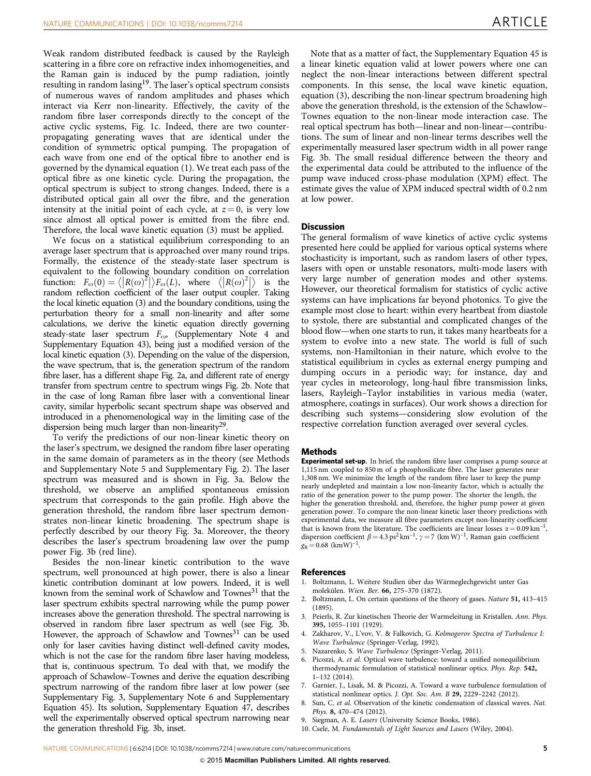<span id="page-4-0"></span>Weak random distributed feedback is caused by the Rayleigh scattering in a fibre core on refractive index inhomogeneities, and the Raman gain is induced by the pump radiation, jointly resulting in random lasing<sup>[19](#page-5-0)</sup>. The laser's optical spectrum consists of numerous waves of random amplitudes and phases which interact via Kerr non-linearity. Effectively, the cavity of the random fibre laser corresponds directly to the concept of the active cyclic systems, [Fig. 1c.](#page-2-0) Indeed, there are two counterpropagating generating waves that are identical under the condition of symmetric optical pumping. The propagation of each wave from one end of the optical fibre to another end is governed by the dynamical equation (1). We treat each pass of the optical fibre as one kinetic cycle. During the propagation, the optical spectrum is subject to strong changes. Indeed, there is a distributed optical gain all over the fibre, and the generation intensity at the initial point of each cycle, at  $z = 0$ , is very low since almost all optical power is emitted from the fibre end. Therefore, the local wave kinetic equation (3) must be applied.

We focus on a statistical equilibrium corresponding to an average laser spectrum that is approached over many round trips. Formally, the existence of the steady-state laser spectrum is equivalent to the following boundary condition on correlation Equivalent to the following boundary condition on correlation<br>function:  $F_{\omega}(0) = \langle |R(\omega)^2| \rangle F_{\omega}(L)$ , where  $\langle |R(\omega)^2| \rangle$  is the random reflection coefficient of the laser output coupler. Taking the local kinetic equation (3) and the boundary conditions, using the perturbation theory for a small non-linearity and after some calculations, we derive the kinetic equation directly governing steady-state laser spectrum  $F_{\omega}$ , (Supplementary Note 4 and Supplementary Equation 43), being just a modified version of the local kinetic equation (3). Depending on the value of the dispersion, the wave spectrum, that is, the generation spectrum of the random fibre laser, has a different shape [Fig. 2a,](#page-3-0) and different rate of energy transfer from spectrum centre to spectrum wings [Fig. 2b.](#page-3-0) Note that in the case of long Raman fibre laser with a conventional linear cavity, similar hyperbolic secant spectrum shape was observed and introduced in a phenomenological way in the limiting case of the dispersion being much larger than non-linearity<sup>29</sup>.

To verify the predictions of our non-linear kinetic theory on the laser's spectrum, we designed the random fibre laser operating in the same domain of parameters as in the theory (see Methods and Supplementary Note 5 and Supplementary Fig. 2). The laser spectrum was measured and is shown in [Fig. 3a.](#page-3-0) Below the threshold, we observe an amplified spontaneous emission spectrum that corresponds to the gain profile. High above the generation threshold, the random fibre laser spectrum demonstrates non-linear kinetic broadening. The spectrum shape is perfectly described by our theory [Fig. 3a](#page-3-0). Moreover, the theory describes the laser's spectrum broadening law over the pump power [Fig. 3b](#page-3-0) (red line).

Besides the non-linear kinetic contribution to the wave spectrum, well pronounced at high power, there is also a linear kinetic contribution dominant at low powers. Indeed, it is well known from the seminal work of Schawlow and Townes<sup>31</sup> that the laser spectrum exhibits spectral narrowing while the pump power increases above the generation threshold. The spectral narrowing is observed in random fibre laser spectrum as well (see [Fig. 3b.](#page-3-0) However, the approach of Schawlow and Townes<sup>31</sup> can be used only for laser cavities having distinct well-defined cavity modes, which is not the case for the random fibre laser having modeless, that is, continuous spectrum. To deal with that, we modify the approach of Schawlow–Townes and derive the equation describing spectrum narrowing of the random fibre laser at low power (see Supplementary Fig. 3, Supplementary Note 6 and Supplementary Equation 45). Its solution, Supplementary Equation 47, describes well the experimentally observed optical spectrum narrowing near the generation threshold [Fig. 3b,](#page-3-0) inset.

Note that as a matter of fact, the Supplementary Equation 45 is a linear kinetic equation valid at lower powers where one can neglect the non-linear interactions between different spectral components. In this sense, the local wave kinetic equation, equation (3), describing the non-linear spectrum broadening high above the generation threshold, is the extension of the Schawlow– Townes equation to the non-linear mode interaction case. The real optical spectrum has both—linear and non-linear—contributions. The sum of linear and non-linear terms describes well the experimentally measured laser spectrum width in all power range [Fig. 3b](#page-3-0). The small residual difference between the theory and the experimental data could be attributed to the influence of the pump wave induced cross-phase modulation (XPM) effect. The estimate gives the value of XPM induced spectral width of 0.2 nm at low power.

#### **Discussion**

The general formalism of wave kinetics of active cyclic systems presented here could be applied for various optical systems where stochasticity is important, such as random lasers of other types, lasers with open or unstable resonators, multi-mode lasers with very large number of generation modes and other systems. However, our theoretical formalism for statistics of cyclic active systems can have implications far beyond photonics. To give the example most close to heart: within every heartbeat from diastole to systole, there are substantial and complicated changes of the blood flow—when one starts to run, it takes many heartbeats for a system to evolve into a new state. The world is full of such systems, non-Hamiltonian in their nature, which evolve to the statistical equilibrium in cycles as external energy pumping and dumping occurs in a periodic way; for instance, day and year cycles in meteorology, long-haul fibre transmission links, lasers, Rayleigh–Taylor instabilities in various media (water, atmosphere, coatings in surfaces). Our work shows a direction for describing such systems—considering slow evolution of the respective correlation function averaged over several cycles.

#### Methods

Experimental set-up. In brief, the random fibre laser comprises a pump source at 1,115 nm coupled to 850 m of a phosphosilicate fibre. The laser generates near 1,308 nm. We minimize the length of the random fibre laser to keep the pump nearly undepleted and maintain a low non-linearity factor, which is actually the ratio of the generation power to the pump power. The shorter the length, the higher the generation threshold, and, therefore, the higher pump power at given generation power. To compare the non-linear kinetic laser theory predictions with experimental data, we measure all fibre parameters except non-linearity coefficient that is known from the literature. The coefficients are linear losses  $\alpha = 0.09 \text{ km}^{-1}$ , dispersion coefficient  $\beta = 4.3 \text{ ps}^2 \text{ km}^{-1}$ ,  $\gamma = 7 \text{ (km W)}^{-1}$ , Raman gain coefficient  $g_R = 0.68$  (kmW)<sup>-1</sup>.

#### References

- 1. Boltzmann, L. Weitere Studien über das Wärmeglechgewicht unter Gas molekülen. Wien. Ber. 66, 275-370 (1872).
- 2. Boltzmann, L. On certain questions of the theory of gases. Nature 51, 413–415 (1895).
- 3. Peierls, R. Zur kinetischen Theorie der Warmeleitung in Kristallen. Ann. Phys. 395, 1055–1101 (1929).
- 4. Zakharov, V., L'vov, V. & Falkovich, G. Kolmogorov Spectra of Turbulence I: Wave Turbulence (Springer-Verlag, 1992).
- 5. Nazarenko, S. Wave Turbulence (Springer-Verlag, 2011).
- 6. Picozzi, A. et al. Optical wave turbulence: toward a unified nonequilibrium thermodynamic formulation of statistical nonlinear optics. Phys. Rep. 542, 1–132 (2014).
- 7. Garnier, J., Lisak, M. & Picozzi, A. Toward a wave turbulence formulation of statistical nonlinear optics. J. Opt. Soc. Am. B 29, 2229–2242 (2012).
- 8. Sun, C. et al. Observation of the kinetic condensation of classical waves. Nat. Phys. 8, 470–474 (2012).
- 9. Siegman, A. E. Lasers (University Science Books, 1986).
- 10. Csele, M. Fundamentals of Light Sources and Lasers (Wiley, 2004).